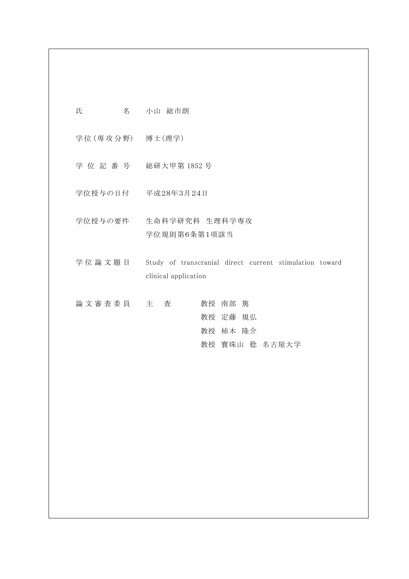- 氏 名 小山 総市朗
- 学 位 (専 攻 分 野) 博士(理学)
- 学 位 記 番 号 総研大甲第 1852 号
- 学位授与の日付 平成28年3月24日
- 学位授与の要件 生命科学研究科 生理科学専攻 学位規則第6条第1項該当
- 学位論文題目 Study of transcranial direct current stimulation toward clinical application
- 論 文 審 査 委 員 主 查 有 一 教授 南部 篤 教授 定藤 規弘 教授 柿木 隆介 教授 寳珠山 稔 名古屋大学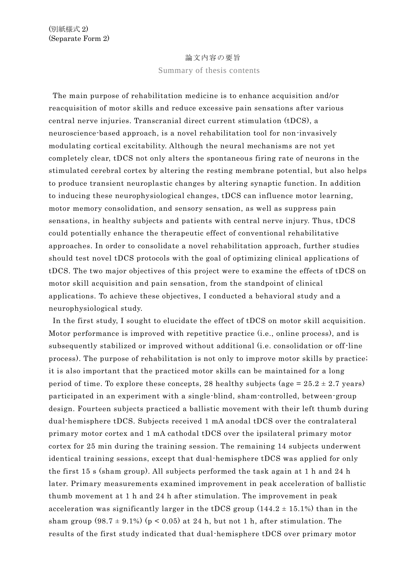## 論文内容の要旨

Summary of thesis contents

The main purpose of rehabilitation medicine is to enhance acquisition and/or reacquisition of motor skills and reduce excessive pain sensations after various central nerve injuries. Transcranial direct current stimulation (tDCS), a neuroscience-based approach, is a novel rehabilitation tool for non-invasively modulating cortical excitability. Although the neural mechanisms are not yet completely clear, tDCS not only alters the spontaneous firing rate of neurons in the stimulated cerebral cortex by altering the resting membrane potential, but also helps to produce transient neuroplastic changes by altering synaptic function. In addition to inducing these neurophysiological changes, tDCS can influence motor learning, motor memory consolidation, and sensory sensation, as well as suppress pain sensations, in healthy subjects and patients with central nerve injury. Thus, tDCS could potentially enhance the therapeutic effect of conventional rehabilitative approaches. In order to consolidate a novel rehabilitation approach, further studies should test novel tDCS protocols with the goal of optimizing clinical applications of tDCS. The two major objectives of this project were to examine the effects of tDCS on motor skill acquisition and pain sensation, from the standpoint of clinical applications. To achieve these objectives, I conducted a behavioral study and a neurophysiological study.

In the first study, I sought to elucidate the effect of tDCS on motor skill acquisition. Motor performance is improved with repetitive practice (i.e., online process), and is subsequently stabilized or improved without additional (i.e. consolidation or off-line process). The purpose of rehabilitation is not only to improve motor skills by practice; it is also important that the practiced motor skills can be maintained for a long period of time. To explore these concepts, 28 healthy subjects (age  $= 25.2 \pm 2.7$  years) participated in an experiment with a single-blind, sham-controlled, between-group design. Fourteen subjects practiced a ballistic movement with their left thumb during dual-hemisphere tDCS. Subjects received 1 mA anodal tDCS over the contralateral primary motor cortex and 1 mA cathodal tDCS over the ipsilateral primary motor cortex for 25 min during the training session. The remaining 14 subjects underwent identical training sessions, except that dual-hemisphere tDCS was applied for only the first 15 s (sham group). All subjects performed the task again at 1 h and 24 h later. Primary measurements examined improvement in peak acceleration of ballistic thumb movement at 1 h and 24 h after stimulation. The improvement in peak acceleration was significantly larger in the tDCS group  $(144.2 \pm 15.1\%)$  than in the sham group  $(98.7 \pm 9.1\%)$  (p < 0.05) at 24 h, but not 1 h, after stimulation. The results of the first study indicated that dual-hemisphere tDCS over primary motor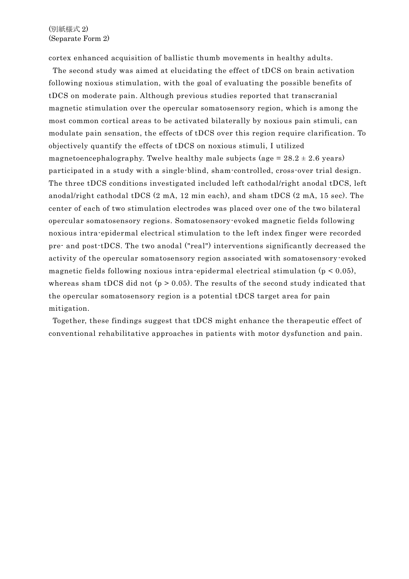cortex enhanced acquisition of ballistic thumb movements in healthy adults.

The second study was aimed at elucidating the effect of tDCS on brain activation following noxious stimulation, with the goal of evaluating the possible benefits of tDCS on moderate pain. Although previous studies reported that transcranial magnetic stimulation over the opercular somatosensory region, which is among the most common cortical areas to be activated bilaterally by noxious pain stimuli, can modulate pain sensation, the effects of tDCS over this region require clarification. To objectively quantify the effects of tDCS on noxious stimuli, I utilized magnetoencephalography. Twelve healthy male subjects (age  $= 28.2 \pm 2.6$  years) participated in a study with a single-blind, sham-controlled, cross-over trial design. The three tDCS conditions investigated included left cathodal/right anodal tDCS, left anodal/right cathodal tDCS (2 mA, 12 min each), and sham tDCS (2 mA, 15 sec). The center of each of two stimulation electrodes was placed over one of the two bilateral opercular somatosensory regions. Somatosensory-evoked magnetic fields following noxious intra-epidermal electrical stimulation to the left index finger were recorded pre- and post-tDCS. The two anodal ("real") interventions significantly decreased the activity of the opercular somatosensory region associated with somatosensory-evoked magnetic fields following noxious intra-epidermal electrical stimulation  $(p < 0.05)$ , whereas sham tDCS did not ( $p > 0.05$ ). The results of the second study indicated that the opercular somatosensory region is a potential tDCS target area for pain mitigation.

Together, these findings suggest that tDCS might enhance the therapeutic effect of conventional rehabilitative approaches in patients with motor dysfunction and pain.